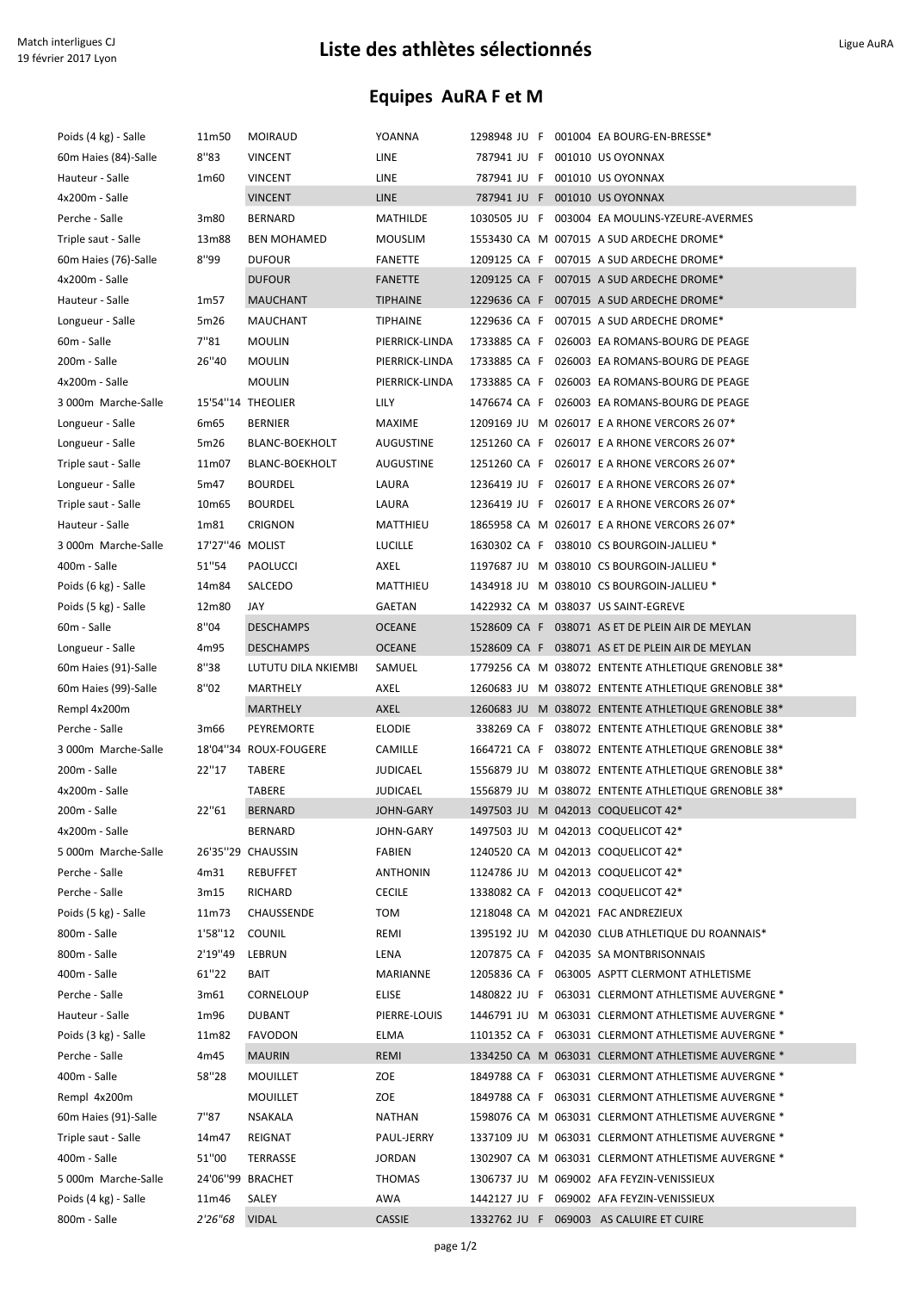## Liste des athlètes sélectionnés des athlètes sélectionnés

## Equipes AuRA F et M

| Poids (4 kg) - Salle | 11m50           | <b>MOIRAUD</b>        | YOANNA          | 1298948 JU F 001004 EA BOURG-EN-BRESSE*             |  |
|----------------------|-----------------|-----------------------|-----------------|-----------------------------------------------------|--|
| 60m Haies (84)-Salle | 8''83           | <b>VINCENT</b>        | LINE            | 787941 JU F 001010 US OYONNAX                       |  |
| Hauteur - Salle      | 1m60            | <b>VINCENT</b>        | LINE            | 787941 JU F 001010 US OYONNAX                       |  |
| 4x200m - Salle       |                 | <b>VINCENT</b>        | LINE            | 787941 JU F 001010 US OYONNAX                       |  |
| Perche - Salle       | 3m80            | <b>BERNARD</b>        | MATHILDE        | 1030505 JU F 003004 EA MOULINS-YZEURE-AVERMES       |  |
| Triple saut - Salle  | 13m88           | <b>BEN MOHAMED</b>    | <b>MOUSLIM</b>  | 1553430 CA M 007015 A SUD ARDECHE DROME*            |  |
| 60m Haies (76)-Salle | 8''99           | <b>DUFOUR</b>         | FANETTE         | 1209125 CA F 007015 A SUD ARDECHE DROME*            |  |
| 4x200m - Salle       |                 | <b>DUFOUR</b>         | <b>FANETTE</b>  | 1209125 CA F 007015 A SUD ARDECHE DROME*            |  |
| Hauteur - Salle      | 1m57            | <b>MAUCHANT</b>       | <b>TIPHAINE</b> | 1229636 CA F 007015 A SUD ARDECHE DROME*            |  |
| Longueur - Salle     | 5m26            | MAUCHANT              | <b>TIPHAINE</b> | 1229636 CA F 007015 A SUD ARDECHE DROME*            |  |
| 60m - Salle          | 7"81            | <b>MOULIN</b>         | PIERRICK-LINDA  | 1733885 CA F 026003 EA ROMANS-BOURG DE PEAGE        |  |
| 200m - Salle         | 26"40           | <b>MOULIN</b>         | PIERRICK-LINDA  | 1733885 CA F 026003 EA ROMANS-BOURG DE PEAGE        |  |
| 4x200m - Salle       |                 | <b>MOULIN</b>         | PIERRICK-LINDA  | 1733885 CA F 026003 EA ROMANS-BOURG DE PEAGE        |  |
| 3 000m Marche-Salle  |                 | 15'54"14 THEOLIER     | LILY            | 1476674 CA F 026003 EA ROMANS-BOURG DE PEAGE        |  |
| Longueur - Salle     | 6m65            | <b>BERNIER</b>        | MAXIME          | 1209169 JU M 026017 E A RHONE VERCORS 26 07*        |  |
| Longueur - Salle     | 5m26            | <b>BLANC-BOEKHOLT</b> | AUGUSTINE       | 1251260 CA F 026017 E A RHONE VERCORS 26 07*        |  |
| Triple saut - Salle  | 11m07           | <b>BLANC-BOEKHOLT</b> | AUGUSTINE       | 1251260 CA F 026017 E A RHONE VERCORS 26 07*        |  |
| Longueur - Salle     | 5m47            | <b>BOURDEL</b>        | LAURA           | 1236419 JU F 026017 E A RHONE VERCORS 26 07*        |  |
| Triple saut - Salle  | 10m65           | <b>BOURDEL</b>        | LAURA           | 1236419 JU F 026017 E A RHONE VERCORS 26 07*        |  |
| Hauteur - Salle      | 1m81            | <b>CRIGNON</b>        | MATTHIEU        | 1865958 CA M 026017 E A RHONE VERCORS 26 07*        |  |
| 3 000m Marche-Salle  | 17'27"46 MOLIST |                       | <b>LUCILLE</b>  | 1630302 CA F 038010 CS BOURGOIN-JALLIEU *           |  |
| 400m - Salle         | 51"54           | PAOLUCCI              | AXEL            | 1197687 JU M 038010 CS BOURGOIN-JALLIEU *           |  |
| Poids (6 kg) - Salle | 14m84           | SALCEDO               | MATTHIEU        | 1434918 JU M 038010 CS BOURGOIN-JALLIEU *           |  |
| Poids (5 kg) - Salle | 12m80           | JAY                   | GAETAN          | 1422932 CA M 038037 US SAINT-EGREVE                 |  |
| 60m - Salle          | 8''04           | <b>DESCHAMPS</b>      | <b>OCEANE</b>   | 1528609 CA F 038071 AS ET DE PLEIN AIR DE MEYLAN    |  |
| Longueur - Salle     | 4m95            | <b>DESCHAMPS</b>      | <b>OCEANE</b>   | 1528609 CA F 038071 AS ET DE PLEIN AIR DE MEYLAN    |  |
| 60m Haies (91)-Salle | 8''38           | LUTUTU DILA NKIEMBI   | SAMUEL          | 1779256 CA M 038072 ENTENTE ATHLETIQUE GRENOBLE 38* |  |
| 60m Haies (99)-Salle | 8''02           | MARTHELY              | AXEL            | 1260683 JU M 038072 ENTENTE ATHLETIQUE GRENOBLE 38* |  |
| Rempl 4x200m         |                 | MARTHELY              | AXEL            | 1260683 JU M 038072 ENTENTE ATHLETIQUE GRENOBLE 38* |  |
| Perche - Salle       | 3m66            | PEYREMORTE            | <b>ELODIE</b>   | 338269 CA F 038072 ENTENTE ATHLETIQUE GRENOBLE 38*  |  |
| 3 000m Marche-Salle  |                 | 18'04"34 ROUX-FOUGERE | <b>CAMILLE</b>  | 1664721 CA F 038072 ENTENTE ATHLETIQUE GRENOBLE 38* |  |
| 200m - Salle         | 22"17           | TABERE                | JUDICAEL        | 1556879 JU M 038072 ENTENTE ATHLETIQUE GRENOBLE 38* |  |
| 4x200m - Salle       |                 | <b>TABERE</b>         | JUDICAEL        | 1556879 JU M 038072 ENTENTE ATHLETIQUE GRENOBLE 38* |  |
| 200m - Salle         | 22"61           | <b>BERNARD</b>        | JOHN-GARY       | 1497503 JU M 042013 COQUELICOT 42*                  |  |
| 4x200m - Salle       |                 | <b>BERNARD</b>        | JOHN-GARY       | 1497503 JU M 042013 COQUELICOT 42*                  |  |
| 5 000m Marche-Salle  |                 | 26'35"29 CHAUSSIN     | FABIEN          | 1240520 CA M 042013 COQUELICOT 42*                  |  |
| Perche - Salle       | 4m31            | <b>REBUFFET</b>       | <b>ANTHONIN</b> | 1124786 JU M 042013 COQUELICOT 42*                  |  |
| Perche - Salle       | 3m15            | RICHARD               | <b>CECILE</b>   | 1338082 CA F 042013 COQUELICOT 42*                  |  |
| Poids (5 kg) - Salle | 11m73           | CHAUSSENDE            | TOM             | 1218048 CA M 042021 FAC ANDREZIEUX                  |  |
| 800m - Salle         | 1'58"12         | <b>COUNIL</b>         | REMI            | 1395192 JU M 042030 CLUB ATHLETIQUE DU ROANNAIS*    |  |
| 800m - Salle         | 2'19"49         | LEBRUN                | LENA            | 1207875 CA F 042035 SA MONTBRISONNAIS               |  |
| 400m - Salle         | 61"22           | BAIT                  | MARIANNE        | 1205836 CA F 063005 ASPTT CLERMONT ATHLETISME       |  |
| Perche - Salle       | 3m61            | CORNELOUP             | ELISE           | 1480822 JU F 063031 CLERMONT ATHLETISME AUVERGNE *  |  |
| Hauteur - Salle      | 1m96            | <b>DUBANT</b>         | PIERRE-LOUIS    | 1446791 JU M 063031 CLERMONT ATHLETISME AUVERGNE *  |  |
| Poids (3 kg) - Salle | 11m82           | <b>FAVODON</b>        | ELMA            | 1101352 CA F 063031 CLERMONT ATHLETISME AUVERGNE *  |  |
| Perche - Salle       | 4m45            | <b>MAURIN</b>         | REMI            | 1334250 CA M 063031 CLERMONT ATHLETISME AUVERGNE *  |  |
| 400m - Salle         | 58"28           | <b>MOUILLET</b>       | ZOE             | 1849788 CA F 063031 CLERMONT ATHLETISME AUVERGNE *  |  |
| Rempl 4x200m         |                 | <b>MOUILLET</b>       | ZOE             | 1849788 CA F 063031 CLERMONT ATHLETISME AUVERGNE *  |  |
| 60m Haies (91)-Salle | 7"87            | NSAKALA               | NATHAN          | 1598076 CA M 063031 CLERMONT ATHLETISME AUVERGNE *  |  |
| Triple saut - Salle  | 14m47           | REIGNAT               | PAUL-JERRY      | 1337109 JU M 063031 CLERMONT ATHLETISME AUVERGNE *  |  |
| 400m - Salle         | 51"00           | TERRASSE              | JORDAN          | 1302907 CA M 063031 CLERMONT ATHLETISME AUVERGNE *  |  |
| 5 000m Marche-Salle  |                 | 24'06"99 BRACHET      | THOMAS          | 1306737 JU M 069002 AFA FEYZIN-VENISSIEUX           |  |
| Poids (4 kg) - Salle | 11m46           | SALEY                 | AWA             | 1442127 JU F 069002 AFA FEYZIN-VENISSIEUX           |  |
| 800m - Salle         | 2'26"68         | <b>VIDAL</b>          | <b>CASSIE</b>   | 1332762 JU F 069003 AS CALUIRE ET CUIRE             |  |